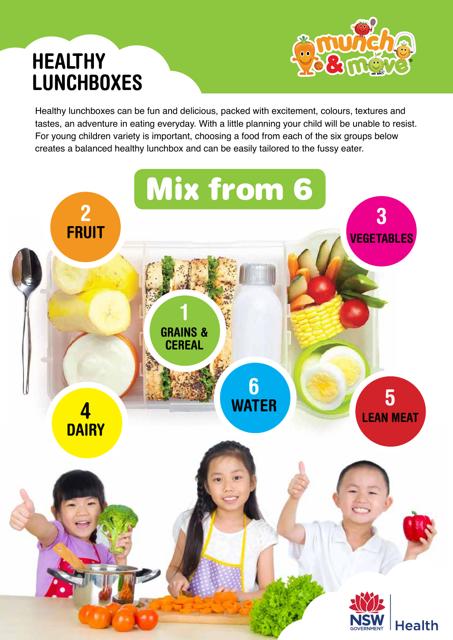## **HEALTHY LUNCHBOXES**



Healthy lunchboxes can be fun and delicious, packed with excitement, colours, textures and tastes, an adventure in eating everyday. With a little planning your child will be unable to resist. For young children variety is important, choosing a food from each of the six groups below creates a balanced healthy lunchbox and can be easily tailored to the fussy eater.